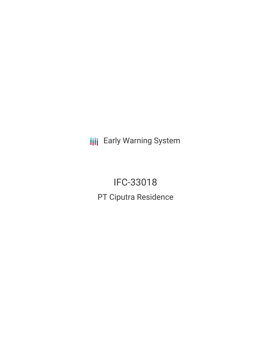**III** Early Warning System

IFC-33018 PT Ciputra Residence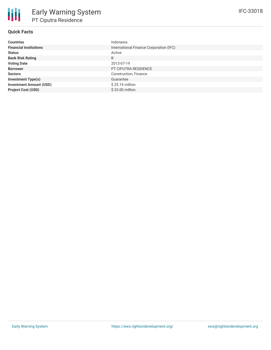# **Quick Facts**

| <b>Countries</b>               | Indonesia                               |
|--------------------------------|-----------------------------------------|
| <b>Financial Institutions</b>  | International Finance Corporation (IFC) |
| <b>Status</b>                  | Active                                  |
| <b>Bank Risk Rating</b>        | B                                       |
| <b>Voting Date</b>             | 2013-07-19                              |
| <b>Borrower</b>                | PT CIPUTRA RESIDENCE                    |
| <b>Sectors</b>                 | Construction, Finance                   |
| <b>Investment Type(s)</b>      | Guarantee                               |
| <b>Investment Amount (USD)</b> | $$25.19$ million                        |
| <b>Project Cost (USD)</b>      | \$33.00 million                         |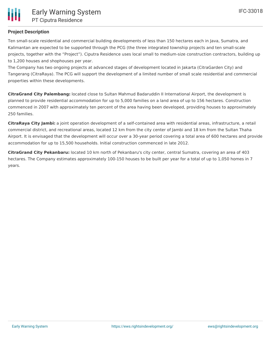# **Project Description**

Ten small-scale residential and commercial building developments of less than 150 hectares each in Java, Sumatra, and Kalimantan are expected to be supported through the PCG (the three integrated township projects and ten small-scale projects, together with the "Project"). Ciputra Residence uses local small to medium-size construction contractors, building up to 1,200 houses and shophouses per year.

The Company has two ongoing projects at advanced stages of development located in Jakarta (CitraGarden City) and Tangerang (CitraRaya). The PCG will support the development of a limited number of small scale residential and commercial properties within these developments.

**CitraGrand City Palembang:** located close to Sultan Mahmud Badaruddin II International Airport, the development is planned to provide residential accommodation for up to 5,000 families on a land area of up to 156 hectares. Construction commenced in 2007 with approximately ten percent of the area having been developed, providing houses to approximately 250 families.

**CitraRaya City Jambi:** a joint operation development of a self-contained area with residential areas, infrastructure, a retail commercial district, and recreational areas, located 12 km from the city center of Jambi and 18 km from the Sultan Thaha Airport. It is envisaged that the development will occur over a 30-year period covering a total area of 600 hectares and provide accommodation for up to 15,500 households. Initial construction commenced in late 2012.

**CitraGrand City Pekanbaru:** located 10 km north of Pekanbaru's city center, central Sumatra, covering an area of 403 hectares. The Company estimates approximately 100-150 houses to be built per year for a total of up to 1,050 homes in 7 years.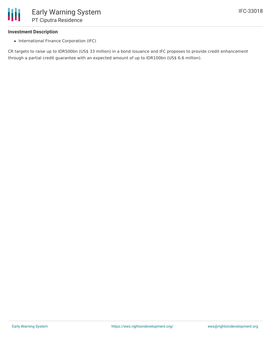## **Investment Description**

• International Finance Corporation (IFC)

CR targets to raise up to IDR500bn (US\$ 33 million) in a bond issuance and IFC proposes to provide credit enhancement through a partial credit guarantee with an expected amount of up to IDR100bn (US\$ 6.6 million).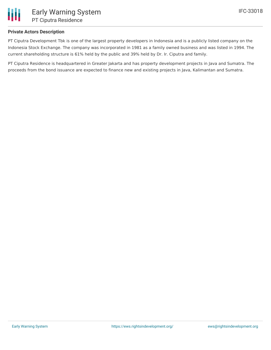## **Private Actors Description**

PT Ciputra Development Tbk is one of the largest property developers in Indonesia and is a publicly listed company on the Indonesia Stock Exchange. The company was incorporated in 1981 as a family owned business and was listed in 1994. The current shareholding structure is 61% held by the public and 39% held by Dr. Ir. Ciputra and family.

PT Ciputra Residence is headquartered in Greater Jakarta and has property development projects in Java and Sumatra. The proceeds from the bond issuance are expected to finance new and existing projects in Java, Kalimantan and Sumatra.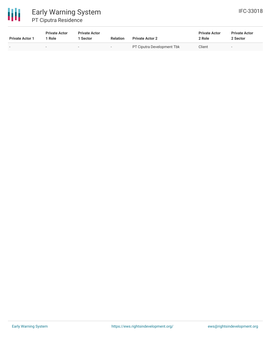

# Early Warning System PT Ciputra Residence

| <b>Private Actor 1</b> | <b>Private Actor</b><br>1 Role | <b>Private Actor</b><br>1 Sector | <b>Relation</b>          | <b>Private Actor 2</b>            | <b>Private Actor</b><br>2 Role | <b>Private Actor</b><br>2 Sector |  |
|------------------------|--------------------------------|----------------------------------|--------------------------|-----------------------------------|--------------------------------|----------------------------------|--|
|                        | $\overline{\phantom{a}}$       | $\overline{\phantom{a}}$         | $\overline{\phantom{a}}$ | <b>PT Ciputra Development Tbk</b> | Client                         | $\overline{\phantom{0}}$         |  |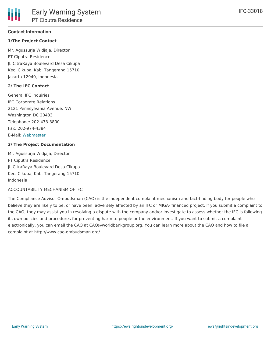#### **Contact Information**

## **1/The Project Contact**

Mr. Agussurja Widjaja, Director PT Ciputra Residence Jl. CitraRaya Boulevard Desa Cikupa Kec. Cikupa, Kab. Tangerang 15710 Jakarta 12940, Indonesia

#### **2/ The IFC Contact**

General IFC Inquiries IFC Corporate Relations 2121 Pennsylvania Avenue, NW Washington DC 20433 Telephone: 202-473-3800 Fax: 202-974-4384 E-Mail: [Webmaster](http://www1.ifc.org/wps/wcm/connect/corp_ext_content/ifc_external_corporate_site/home)

#### **3/ The Project Documentation**

Mr. Agussurja Widjaja, Director PT Ciputra Residence Jl. CitraRaya Boulevard Desa Cikupa Kec. Cikupa, Kab. Tangerang 15710 Indonesia

## ACCOUNTABILITY MECHANISM OF IFC

The Compliance Advisor Ombudsman (CAO) is the independent complaint mechanism and fact-finding body for people who believe they are likely to be, or have been, adversely affected by an IFC or MIGA- financed project. If you submit a complaint to the CAO, they may assist you in resolving a dispute with the company and/or investigate to assess whether the IFC is following its own policies and procedures for preventing harm to people or the environment. If you want to submit a complaint electronically, you can email the CAO at CAO@worldbankgroup.org. You can learn more about the CAO and how to file a complaint at http://www.cao-ombudsman.org/